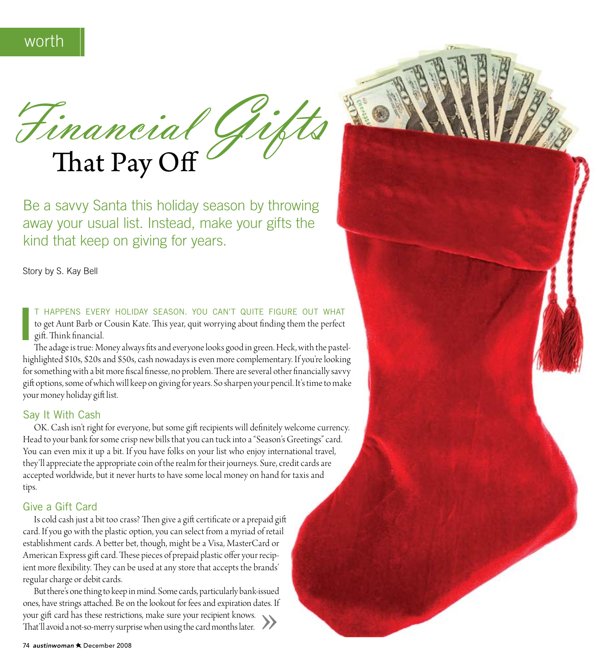Financial Gig

Be a savvy Santa this holiday season by throwing away your usual list. Instead, make your gifts the kind that keep on giving for years.

Story by S. Kay Bell

T HAPPENS EVERY HOLIDAY SEASON. YOU CAN'T QUITE FIGURE OUT WHAT to get Aunt Barb or Cousin Kate. This year, quit worrying about finding them the perfect gift. Think financial.

The adage is true: Money always fits and everyone looks good in green. Heck, with the pastelhighlighted \$10s, \$20s and \$50s, cash nowadays is even more complementary. If you're looking for something with a bit more fiscal finesse, no problem. There are several other financially savvy gift options, some of which will keep on giving for years. So sharpen your pencil. It's time to make your money holiday gift list.

## Say It With Cash

OK. Cash isn't right for everyone, but some gift recipients will definitely welcome currency. Head to your bank for some crisp new bills that you can tuck into a "Season's Greetings" card. You can even mix it up a bit. If you have folks on your list who enjoy international travel, they'll appreciate the appropriate coin of the realm for their journeys. Sure, credit cards are accepted worldwide, but it never hurts to have some local money on hand for taxis and tips.

#### Give a Gift Card

Is cold cash just a bit too crass? Then give a gift certificate or a prepaid gift card. If you go with the plastic option, you can select from a myriad of retail establishment cards. A better bet, though, might be a Visa, MasterCard or American Express gift card. These pieces of prepaid plastic offer your recipient more flexibility. They can be used at any store that accepts the brands' regular charge or debit cards.

But there's one thing to keep in mind. Some cards, particularly bank-issued ones, have strings attached. Be on the lookout for fees and expiration dates. If your gift card has these restrictions, make sure your recipient knows. That'll avoid a not-so-merry surprise when using the card months later.